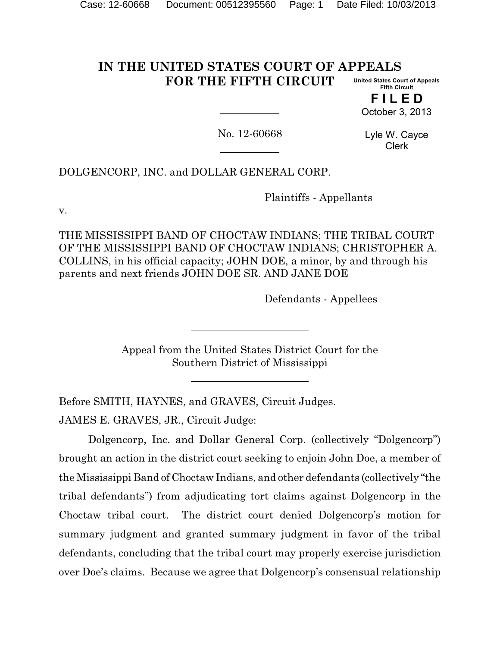#### **IN THE UNITED STATES COURT OF APPEALS FOR THE FIFTH CIRCUIT United States Court of Appeals Fifth Circuit**

**F I L E D** October 3, 2013

No. 12-60668

Lyle W. Cayce Clerk

DOLGENCORP, INC. and DOLLAR GENERAL CORP.

Plaintiffs - Appellants

v.

THE MISSISSIPPI BAND OF CHOCTAW INDIANS; THE TRIBAL COURT OF THE MISSISSIPPI BAND OF CHOCTAW INDIANS; CHRISTOPHER A. COLLINS, in his official capacity; JOHN DOE, a minor, by and through his parents and next friends JOHN DOE SR. AND JANE DOE

Defendants - Appellees

Appeal from the United States District Court for the Southern District of Mississippi

Before SMITH, HAYNES, and GRAVES, Circuit Judges.

JAMES E. GRAVES, JR., Circuit Judge:

Dolgencorp, Inc. and Dollar General Corp. (collectively "Dolgencorp") brought an action in the district court seeking to enjoin John Doe, a member of the Mississippi Band of Choctaw Indians, and other defendants (collectively "the tribal defendants") from adjudicating tort claims against Dolgencorp in the Choctaw tribal court. The district court denied Dolgencorp's motion for summary judgment and granted summary judgment in favor of the tribal defendants, concluding that the tribal court may properly exercise jurisdiction over Doe's claims. Because we agree that Dolgencorp's consensual relationship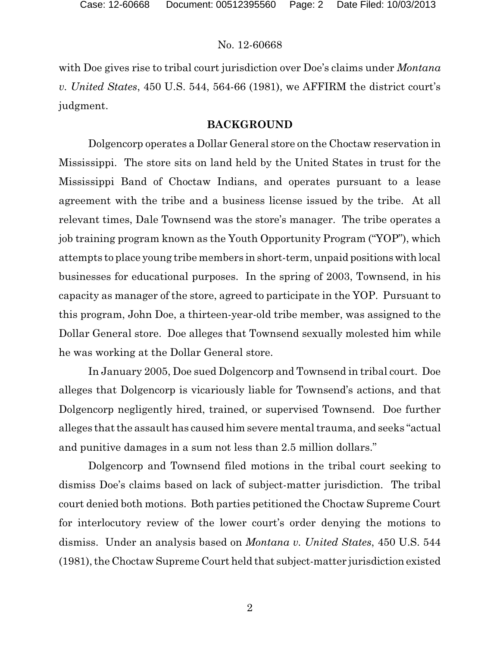with Doe gives rise to tribal court jurisdiction over Doe's claims under *Montana v. United States*, 450 U.S. 544, 564-66 (1981), we AFFIRM the district court's judgment.

# **BACKGROUND**

Dolgencorp operates a Dollar General store on the Choctaw reservation in Mississippi. The store sits on land held by the United States in trust for the Mississippi Band of Choctaw Indians, and operates pursuant to a lease agreement with the tribe and a business license issued by the tribe. At all relevant times, Dale Townsend was the store's manager. The tribe operates a job training program known as the Youth Opportunity Program ("YOP"), which attempts to place young tribe members in short-term, unpaid positionswith local businesses for educational purposes. In the spring of 2003, Townsend, in his capacity as manager of the store, agreed to participate in the YOP. Pursuant to this program, John Doe, a thirteen-year-old tribe member, was assigned to the Dollar General store. Doe alleges that Townsend sexually molested him while he was working at the Dollar General store.

In January 2005, Doe sued Dolgencorp and Townsend in tribal court. Doe alleges that Dolgencorp is vicariously liable for Townsend's actions, and that Dolgencorp negligently hired, trained, or supervised Townsend. Doe further alleges that the assault has caused him severe mental trauma, and seeks "actual and punitive damages in a sum not less than 2.5 million dollars."

Dolgencorp and Townsend filed motions in the tribal court seeking to dismiss Doe's claims based on lack of subject-matter jurisdiction. The tribal court denied both motions. Both parties petitioned the Choctaw Supreme Court for interlocutory review of the lower court's order denying the motions to dismiss. Under an analysis based on *Montana v. United States*, 450 U.S. 544 (1981), the Choctaw Supreme Court held that subject-matter jurisdiction existed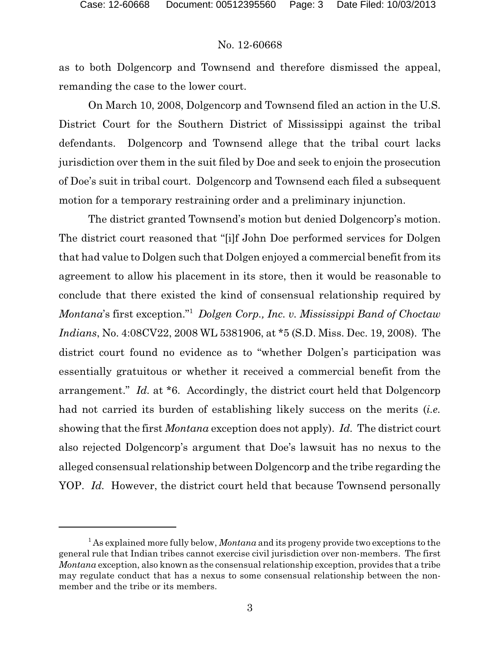as to both Dolgencorp and Townsend and therefore dismissed the appeal, remanding the case to the lower court.

On March 10, 2008, Dolgencorp and Townsend filed an action in the U.S. District Court for the Southern District of Mississippi against the tribal defendants. Dolgencorp and Townsend allege that the tribal court lacks jurisdiction over them in the suit filed by Doe and seek to enjoin the prosecution of Doe's suit in tribal court. Dolgencorp and Townsend each filed a subsequent motion for a temporary restraining order and a preliminary injunction.

The district granted Townsend's motion but denied Dolgencorp's motion. The district court reasoned that "[i]f John Doe performed services for Dolgen that had value to Dolgen such that Dolgen enjoyed a commercial benefit from its agreement to allow his placement in its store, then it would be reasonable to conclude that there existed the kind of consensual relationship required by *Montana*'s first exception."<sup>1</sup> *Dolgen Corp., Inc. v. Mississippi Band of Choctaw Indians*, No. 4:08CV22, 2008 WL 5381906, at \*5 (S.D. Miss. Dec. 19, 2008). The district court found no evidence as to "whether Dolgen's participation was essentially gratuitous or whether it received a commercial benefit from the arrangement." *Id.* at \*6. Accordingly, the district court held that Dolgencorp had not carried its burden of establishing likely success on the merits (*i.e.* showing that the first *Montana* exception does not apply). *Id.* The district court also rejected Dolgencorp's argument that Doe's lawsuit has no nexus to the alleged consensual relationship between Dolgencorp and the tribe regarding the YOP. *Id.* However, the district court held that because Townsend personally

<sup>1</sup> As explained more fully below, *Montana* and its progeny provide two exceptions to the general rule that Indian tribes cannot exercise civil jurisdiction over non-members. The first *Montana* exception, also known as the consensual relationship exception, provides that a tribe may regulate conduct that has a nexus to some consensual relationship between the nonmember and the tribe or its members.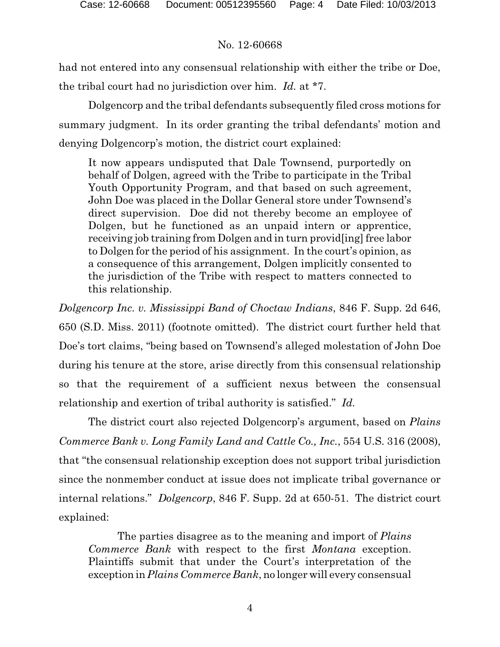had not entered into any consensual relationship with either the tribe or Doe, the tribal court had no jurisdiction over him. *Id.* at \*7.

Dolgencorp and the tribal defendants subsequently filed cross motions for summary judgment. In its order granting the tribal defendants' motion and denying Dolgencorp's motion, the district court explained:

It now appears undisputed that Dale Townsend, purportedly on behalf of Dolgen, agreed with the Tribe to participate in the Tribal Youth Opportunity Program, and that based on such agreement, John Doe was placed in the Dollar General store under Townsend's direct supervision. Doe did not thereby become an employee of Dolgen, but he functioned as an unpaid intern or apprentice, receiving job training from Dolgen and in turn provid[ing] free labor to Dolgen for the period of his assignment. In the court's opinion, as a consequence of this arrangement, Dolgen implicitly consented to the jurisdiction of the Tribe with respect to matters connected to this relationship.

*Dolgencorp Inc. v. Mississippi Band of Choctaw Indians*, 846 F. Supp. 2d 646, 650 (S.D. Miss. 2011) (footnote omitted). The district court further held that Doe's tort claims, "being based on Townsend's alleged molestation of John Doe during his tenure at the store, arise directly from this consensual relationship so that the requirement of a sufficient nexus between the consensual relationship and exertion of tribal authority is satisfied." *Id.*

The district court also rejected Dolgencorp's argument, based on *Plains Commerce Bank v. Long Family Land and Cattle Co., Inc.*, 554 U.S. 316 (2008), that "the consensual relationship exception does not support tribal jurisdiction since the nonmember conduct at issue does not implicate tribal governance or internal relations." *Dolgencorp*, 846 F. Supp. 2d at 650-51. The district court explained:

The parties disagree as to the meaning and import of *Plains Commerce Bank* with respect to the first *Montana* exception. Plaintiffs submit that under the Court's interpretation of the exception in *Plains Commerce Bank*, no longer will every consensual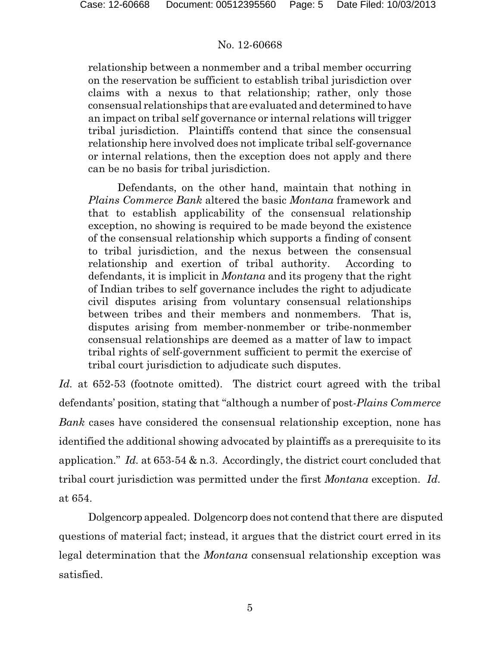relationship between a nonmember and a tribal member occurring on the reservation be sufficient to establish tribal jurisdiction over claims with a nexus to that relationship; rather, only those consensual relationships that are evaluated and determined to have an impact on tribal self governance or internal relations will trigger tribal jurisdiction. Plaintiffs contend that since the consensual relationship here involved does not implicate tribal self-governance or internal relations, then the exception does not apply and there can be no basis for tribal jurisdiction.

Defendants, on the other hand, maintain that nothing in *Plains Commerce Bank* altered the basic *Montana* framework and that to establish applicability of the consensual relationship exception, no showing is required to be made beyond the existence of the consensual relationship which supports a finding of consent to tribal jurisdiction, and the nexus between the consensual relationship and exertion of tribal authority. According to defendants, it is implicit in *Montana* and its progeny that the right of Indian tribes to self governance includes the right to adjudicate civil disputes arising from voluntary consensual relationships between tribes and their members and nonmembers. That is, disputes arising from member-nonmember or tribe-nonmember consensual relationships are deemed as a matter of law to impact tribal rights of self-government sufficient to permit the exercise of tribal court jurisdiction to adjudicate such disputes.

*Id.* at 652-53 (footnote omitted). The district court agreed with the tribal defendants' position, stating that "although a number of post-*Plains Commerce Bank* cases have considered the consensual relationship exception, none has identified the additional showing advocated by plaintiffs as a prerequisite to its application." *Id.* at 653-54 & n.3. Accordingly, the district court concluded that tribal court jurisdiction was permitted under the first *Montana* exception. *Id.* at 654.

Dolgencorp appealed. Dolgencorp does not contend that there are disputed questions of material fact; instead, it argues that the district court erred in its legal determination that the *Montana* consensual relationship exception was satisfied.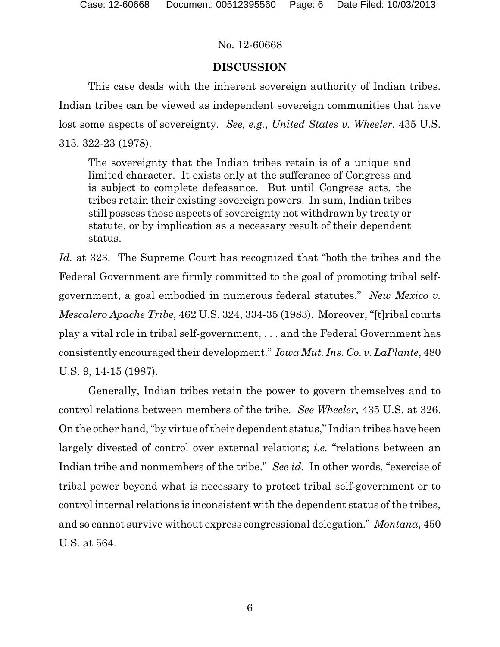# **DISCUSSION**

This case deals with the inherent sovereign authority of Indian tribes. Indian tribes can be viewed as independent sovereign communities that have lost some aspects of sovereignty. *See, e.g.*, *United States v. Wheeler*, 435 U.S. 313, 322-23 (1978).

The sovereignty that the Indian tribes retain is of a unique and limited character. It exists only at the sufferance of Congress and is subject to complete defeasance. But until Congress acts, the tribes retain their existing sovereign powers. In sum, Indian tribes still possess those aspects of sovereignty not withdrawn by treaty or statute, or by implication as a necessary result of their dependent status.

*Id.* at 323. The Supreme Court has recognized that "both the tribes and the Federal Government are firmly committed to the goal of promoting tribal selfgovernment, a goal embodied in numerous federal statutes." *New Mexico v. Mescalero Apache Tribe*, 462 U.S. 324, 334-35 (1983). Moreover, "[t]ribal courts play a vital role in tribal self-government, . . . and the Federal Government has consistently encouraged their development." *Iowa Mut. Ins. Co. v. LaPlante*, 480 U.S. 9, 14-15 (1987).

Generally, Indian tribes retain the power to govern themselves and to control relations between members of the tribe. *See Wheeler*, 435 U.S. at 326. On the other hand, "by virtue of their dependent status," Indian tribes have been largely divested of control over external relations; *i.e.* "relations between an Indian tribe and nonmembers of the tribe." *See id.* In other words, "exercise of tribal power beyond what is necessary to protect tribal self-government or to control internal relations is inconsistent with the dependent status of the tribes, and so cannot survive without express congressional delegation." *Montana*, 450 U.S. at 564.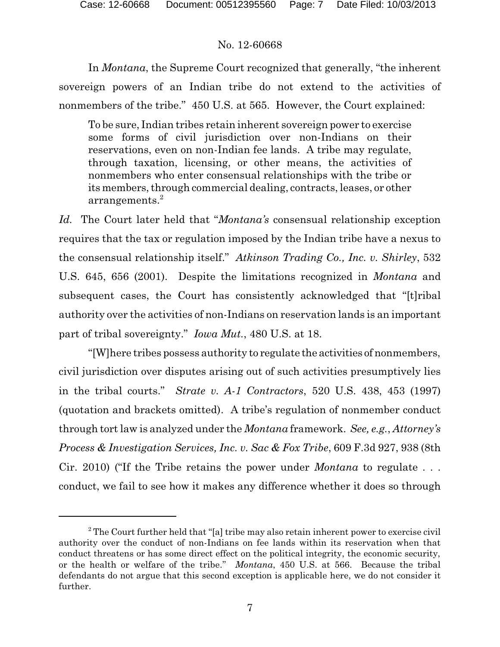In *Montana*, the Supreme Court recognized that generally, "the inherent sovereign powers of an Indian tribe do not extend to the activities of nonmembers of the tribe." 450 U.S. at 565. However, the Court explained:

To be sure, Indian tribes retain inherent sovereign power to exercise some forms of civil jurisdiction over non-Indians on their reservations, even on non-Indian fee lands. A tribe may regulate, through taxation, licensing, or other means, the activities of nonmembers who enter consensual relationships with the tribe or its members, through commercial dealing, contracts, leases, or other arrangements.<sup>2</sup>

*Id.* The Court later held that "*Montana's* consensual relationship exception requires that the tax or regulation imposed by the Indian tribe have a nexus to the consensual relationship itself." *Atkinson Trading Co., Inc. v. Shirley*, 532 U.S. 645, 656 (2001). Despite the limitations recognized in *Montana* and subsequent cases, the Court has consistently acknowledged that "[t]ribal authority over the activities of non-Indians on reservation lands is an important part of tribal sovereignty." *Iowa Mut.*, 480 U.S. at 18.

"[W]here tribes possess authority to regulate the activities of nonmembers, civil jurisdiction over disputes arising out of such activities presumptively lies in the tribal courts." *Strate v. A-1 Contractors*, 520 U.S. 438, 453 (1997) (quotation and brackets omitted). A tribe's regulation of nonmember conduct through tort law is analyzed under the *Montana* framework. *See, e.g.*, *Attorney's Process & Investigation Services, Inc. v. Sac & Fox Tribe*, 609 F.3d 927, 938 (8th Cir. 2010) ("If the Tribe retains the power under *Montana* to regulate . . . conduct, we fail to see how it makes any difference whether it does so through

<sup>&</sup>lt;sup>2</sup> The Court further held that "[a] tribe may also retain inherent power to exercise civil authority over the conduct of non-Indians on fee lands within its reservation when that conduct threatens or has some direct effect on the political integrity, the economic security, or the health or welfare of the tribe." *Montana*, 450 U.S. at 566. Because the tribal defendants do not argue that this second exception is applicable here, we do not consider it further.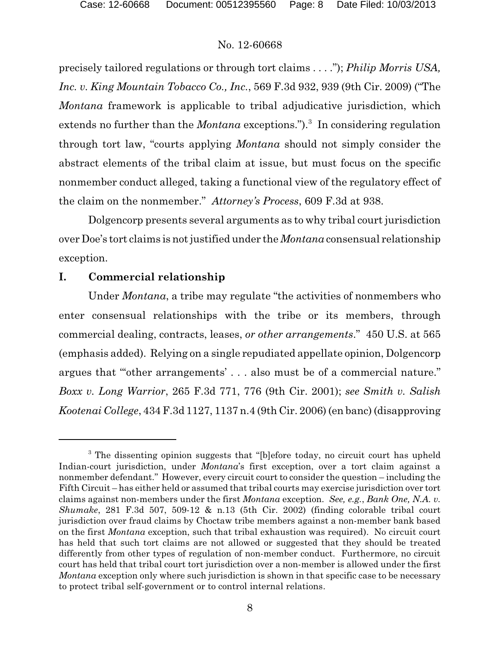precisely tailored regulations or through tort claims . . . ."); *Philip Morris USA, Inc. v. King Mountain Tobacco Co., Inc.*, 569 F.3d 932, 939 (9th Cir. 2009) ("The *Montana* framework is applicable to tribal adjudicative jurisdiction, which extends no further than the *Montana* exceptions.").<sup>3</sup> In considering regulation through tort law, "courts applying *Montana* should not simply consider the abstract elements of the tribal claim at issue, but must focus on the specific nonmember conduct alleged, taking a functional view of the regulatory effect of the claim on the nonmember." *Attorney's Process*, 609 F.3d at 938.

Dolgencorp presents several arguments as to why tribal court jurisdiction over Doe's tort claims is not justified under the *Montana* consensual relationship exception.

# **I. Commercial relationship**

Under *Montana*, a tribe may regulate "the activities of nonmembers who enter consensual relationships with the tribe or its members, through commercial dealing, contracts, leases, *or other arrangements*." 450 U.S. at 565 (emphasis added). Relying on a single repudiated appellate opinion, Dolgencorp argues that "'other arrangements' . . . also must be of a commercial nature." *Boxx v. Long Warrior*, 265 F.3d 771, 776 (9th Cir. 2001); *see Smith v. Salish Kootenai College*, 434 F.3d 1127, 1137 n.4 (9th Cir. 2006) (en banc) (disapproving

<sup>&</sup>lt;sup>3</sup> The dissenting opinion suggests that "[b]efore today, no circuit court has upheld Indian-court jurisdiction, under *Montana*'s first exception, over a tort claim against a nonmember defendant." However, every circuit court to consider the question – including the Fifth Circuit – has either held or assumed that tribal courts may exercise jurisdiction over tort claims against non-members under the first *Montana* exception. *See, e.g.*, *Bank One, N.A. v. Shumake*, 281 F.3d 507, 509-12 & n.13 (5th Cir. 2002) (finding colorable tribal court jurisdiction over fraud claims by Choctaw tribe members against a non-member bank based on the first *Montana* exception, such that tribal exhaustion was required). No circuit court has held that such tort claims are not allowed or suggested that they should be treated differently from other types of regulation of non-member conduct. Furthermore, no circuit court has held that tribal court tort jurisdiction over a non-member is allowed under the first *Montana* exception only where such jurisdiction is shown in that specific case to be necessary to protect tribal self-government or to control internal relations.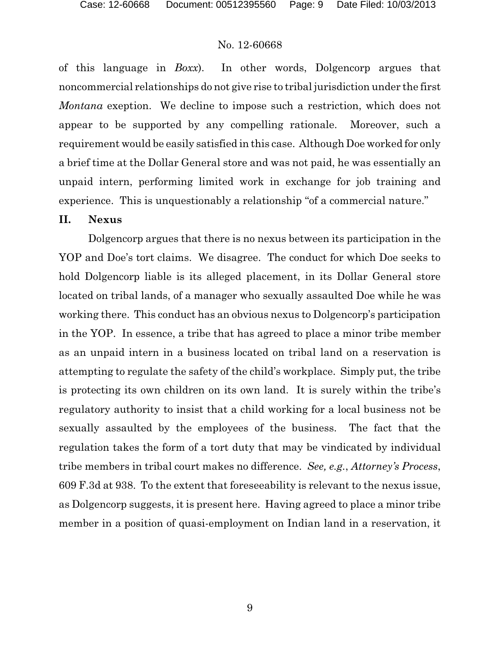of this language in *Boxx*). In other words, Dolgencorp argues that noncommercial relationships do not give rise to tribal jurisdiction under the first *Montana* exeption. We decline to impose such a restriction, which does not appear to be supported by any compelling rationale. Moreover, such a requirement would be easily satisfied in this case. Although Doe worked for only a brief time at the Dollar General store and was not paid, he was essentially an unpaid intern, performing limited work in exchange for job training and experience. This is unquestionably a relationship "of a commercial nature."

#### **II. Nexus**

Dolgencorp argues that there is no nexus between its participation in the YOP and Doe's tort claims. We disagree. The conduct for which Doe seeks to hold Dolgencorp liable is its alleged placement, in its Dollar General store located on tribal lands, of a manager who sexually assaulted Doe while he was working there. This conduct has an obvious nexus to Dolgencorp's participation in the YOP. In essence, a tribe that has agreed to place a minor tribe member as an unpaid intern in a business located on tribal land on a reservation is attempting to regulate the safety of the child's workplace. Simply put, the tribe is protecting its own children on its own land. It is surely within the tribe's regulatory authority to insist that a child working for a local business not be sexually assaulted by the employees of the business. The fact that the regulation takes the form of a tort duty that may be vindicated by individual tribe members in tribal court makes no difference. *See, e.g.*, *Attorney's Process*, 609 F.3d at 938. To the extent that foreseeability is relevant to the nexus issue, as Dolgencorp suggests, it is present here. Having agreed to place a minor tribe member in a position of quasi-employment on Indian land in a reservation, it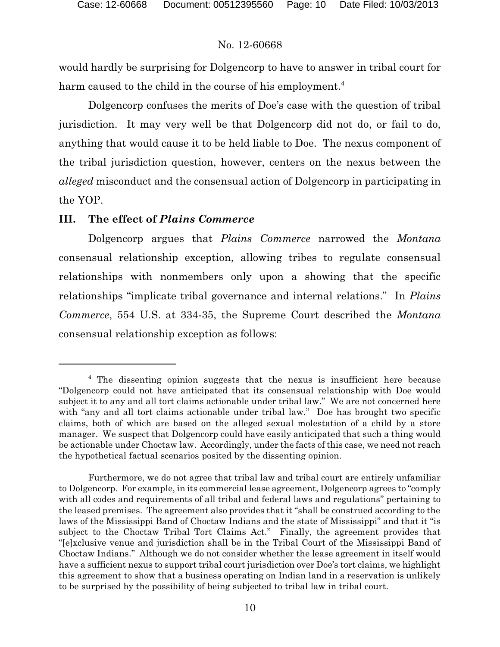would hardly be surprising for Dolgencorp to have to answer in tribal court for harm caused to the child in the course of his employment.<sup>4</sup>

Dolgencorp confuses the merits of Doe's case with the question of tribal jurisdiction. It may very well be that Dolgencorp did not do, or fail to do, anything that would cause it to be held liable to Doe. The nexus component of the tribal jurisdiction question, however, centers on the nexus between the *alleged* misconduct and the consensual action of Dolgencorp in participating in the YOP.

# **III. The effect of** *Plains Commerce*

Dolgencorp argues that *Plains Commerce* narrowed the *Montana* consensual relationship exception, allowing tribes to regulate consensual relationships with nonmembers only upon a showing that the specific relationships "implicate tribal governance and internal relations." In *Plains Commerce*, 554 U.S. at 334-35, the Supreme Court described the *Montana* consensual relationship exception as follows:

<sup>4</sup> The dissenting opinion suggests that the nexus is insufficient here because "Dolgencorp could not have anticipated that its consensual relationship with Doe would subject it to any and all tort claims actionable under tribal law." We are not concerned here with "any and all tort claims actionable under tribal law." Doe has brought two specific claims, both of which are based on the alleged sexual molestation of a child by a store manager. We suspect that Dolgencorp could have easily anticipated that such a thing would be actionable under Choctaw law. Accordingly, under the facts of this case, we need not reach the hypothetical factual scenarios posited by the dissenting opinion.

Furthermore, we do not agree that tribal law and tribal court are entirely unfamiliar to Dolgencorp. For example, in its commercial lease agreement, Dolgencorp agrees to "comply with all codes and requirements of all tribal and federal laws and regulations" pertaining to the leased premises. The agreement also provides that it "shall be construed according to the laws of the Mississippi Band of Choctaw Indians and the state of Mississippi" and that it "is subject to the Choctaw Tribal Tort Claims Act." Finally, the agreement provides that "[e]xclusive venue and jurisdiction shall be in the Tribal Court of the Mississippi Band of Choctaw Indians." Although we do not consider whether the lease agreement in itself would have a sufficient nexus to support tribal court jurisdiction over Doe's tort claims, we highlight this agreement to show that a business operating on Indian land in a reservation is unlikely to be surprised by the possibility of being subjected to tribal law in tribal court.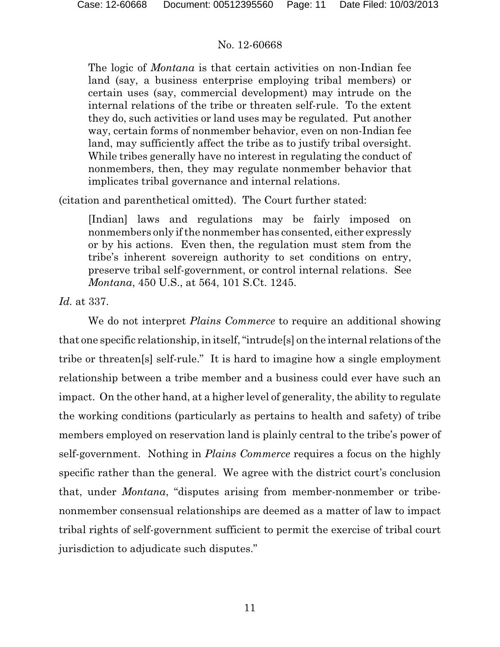The logic of *Montana* is that certain activities on non-Indian fee land (say, a business enterprise employing tribal members) or certain uses (say, commercial development) may intrude on the internal relations of the tribe or threaten self-rule. To the extent they do, such activities or land uses may be regulated. Put another way, certain forms of nonmember behavior, even on non-Indian fee land, may sufficiently affect the tribe as to justify tribal oversight. While tribes generally have no interest in regulating the conduct of nonmembers, then, they may regulate nonmember behavior that implicates tribal governance and internal relations.

(citation and parenthetical omitted). The Court further stated:

[Indian] laws and regulations may be fairly imposed on nonmembers only if the nonmember has consented, either expressly or by his actions. Even then, the regulation must stem from the tribe's inherent sovereign authority to set conditions on entry, preserve tribal self-government, or control internal relations. See *Montana*, 450 U.S., at 564, 101 S.Ct. 1245.

*Id.* at 337.

We do not interpret *Plains Commerce* to require an additional showing that one specific relationship, in itself, "intrude[s] on the internal relations of the tribe or threaten[s] self-rule." It is hard to imagine how a single employment relationship between a tribe member and a business could ever have such an impact. On the other hand, at a higher level of generality, the ability to regulate the working conditions (particularly as pertains to health and safety) of tribe members employed on reservation land is plainly central to the tribe's power of self-government. Nothing in *Plains Commerce* requires a focus on the highly specific rather than the general. We agree with the district court's conclusion that, under *Montana*, "disputes arising from member-nonmember or tribenonmember consensual relationships are deemed as a matter of law to impact tribal rights of self-government sufficient to permit the exercise of tribal court jurisdiction to adjudicate such disputes."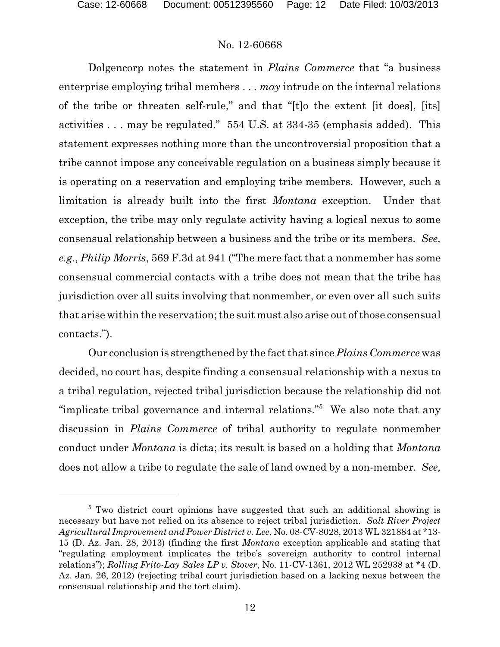Dolgencorp notes the statement in *Plains Commerce* that "a business enterprise employing tribal members . . . *may* intrude on the internal relations of the tribe or threaten self-rule," and that "[t]o the extent [it does], [its] activities . . . may be regulated." 554 U.S. at 334-35 (emphasis added). This statement expresses nothing more than the uncontroversial proposition that a tribe cannot impose any conceivable regulation on a business simply because it is operating on a reservation and employing tribe members. However, such a limitation is already built into the first *Montana* exception. Under that exception, the tribe may only regulate activity having a logical nexus to some consensual relationship between a business and the tribe or its members. *See, e.g.*, *Philip Morris*, 569 F.3d at 941 ("The mere fact that a nonmember has some consensual commercial contacts with a tribe does not mean that the tribe has jurisdiction over all suits involving that nonmember, or even over all such suits that arise within the reservation; the suit must also arise out of those consensual contacts.").

Our conclusion is strengthened by the fact that since *Plains Commerce* was decided, no court has, despite finding a consensual relationship with a nexus to a tribal regulation, rejected tribal jurisdiction because the relationship did not "implicate tribal governance and internal relations."<sup>5</sup> We also note that any discussion in *Plains Commerce* of tribal authority to regulate nonmember conduct under *Montana* is dicta; its result is based on a holding that *Montana* does not allow a tribe to regulate the sale of land owned by a non-member. *See,*

<sup>&</sup>lt;sup>5</sup> Two district court opinions have suggested that such an additional showing is necessary but have not relied on its absence to reject tribal jurisdiction. *Salt River Project Agricultural Improvement and Power District v. Lee*, No. 08-CV-8028, 2013 WL 321884 at \*13- 15 (D. Az. Jan. 28, 2013) (finding the first *Montana* exception applicable and stating that "regulating employment implicates the tribe's sovereign authority to control internal relations"); *Rolling Frito-Lay Sales LP v. Stover*, No. 11-CV-1361, 2012 WL 252938 at \*4 (D. Az. Jan. 26, 2012) (rejecting tribal court jurisdiction based on a lacking nexus between the consensual relationship and the tort claim).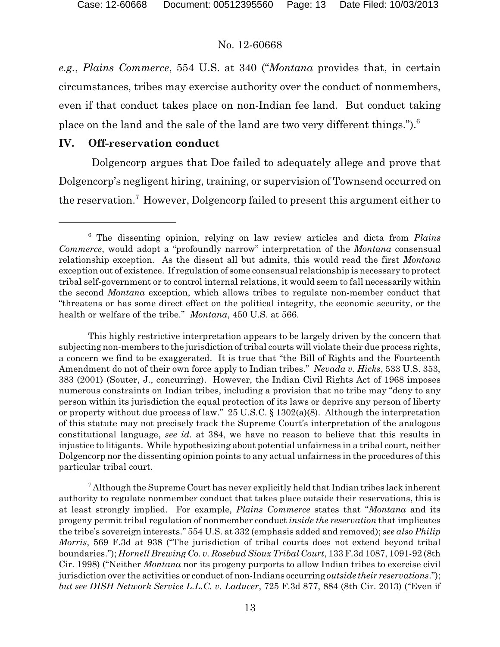*e.g.*, *Plains Commerce*, 554 U.S. at 340 ("*Montana* provides that, in certain circumstances, tribes may exercise authority over the conduct of nonmembers, even if that conduct takes place on non-Indian fee land. But conduct taking place on the land and the sale of the land are two very different things.").<sup>6</sup>

#### **IV. Off-reservation conduct**

Dolgencorp argues that Doe failed to adequately allege and prove that Dolgencorp's negligent hiring, training, or supervision of Townsend occurred on the reservation.<sup>7</sup> However, Dolgencorp failed to present this argument either to

<sup>6</sup> The dissenting opinion, relying on law review articles and dicta from *Plains Commerce*, would adopt a "profoundly narrow" interpretation of the *Montana* consensual relationship exception. As the dissent all but admits, this would read the first *Montana* exception out of existence. If regulation of some consensual relationship is necessary to protect tribal self-government or to control internal relations, it would seem to fall necessarily within the second *Montana* exception, which allows tribes to regulate non-member conduct that "threatens or has some direct effect on the political integrity, the economic security, or the health or welfare of the tribe." *Montana*, 450 U.S. at 566.

This highly restrictive interpretation appears to be largely driven by the concern that subjecting non-members to the jurisdiction of tribal courts will violate their due process rights, a concern we find to be exaggerated. It is true that "the Bill of Rights and the Fourteenth Amendment do not of their own force apply to Indian tribes." *Nevada v. Hicks*, 533 U.S. 353, 383 (2001) (Souter, J., concurring). However, the Indian Civil Rights Act of 1968 imposes numerous constraints on Indian tribes, including a provision that no tribe may "deny to any person within its jurisdiction the equal protection of its laws or deprive any person of liberty or property without due process of law." 25 U.S.C.  $\S 1302(a)(8)$ . Although the interpretation of this statute may not precisely track the Supreme Court's interpretation of the analogous constitutional language, *see id.* at 384, we have no reason to believe that this results in injustice to litigants. While hypothesizing about potential unfairness in a tribal court, neither Dolgencorp nor the dissenting opinion points to any actual unfairness in the procedures ofthis particular tribal court.

 $7$  Although the Supreme Court has never explicitly held that Indian tribes lack inherent authority to regulate nonmember conduct that takes place outside their reservations, this is at least strongly implied. For example, *Plains Commerce* states that "*Montana* and its progeny permit tribal regulation of nonmember conduct *inside the reservation* that implicates the tribe's sovereign interests." 554 U.S. at 332 (emphasis added and removed); *see also Philip Morris*, 569 F.3d at 938 ("The jurisdiction of tribal courts does not extend beyond tribal boundaries."); *Hornell Brewing Co. v. Rosebud Sioux Tribal Court*, 133 F.3d 1087, 1091-92 (8th Cir. 1998) ("Neither *Montana* nor its progeny purports to allow Indian tribes to exercise civil jurisdiction over the activities or conduct of non-Indians occurring *outside their reservations*."); *but see DISH Network Service L.L.C. v. Laducer*, 725 F.3d 877, 884 (8th Cir. 2013) ("Even if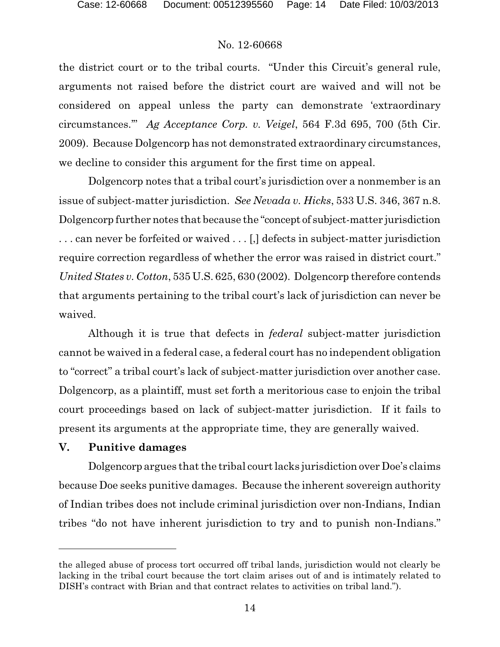the district court or to the tribal courts. "Under this Circuit's general rule, arguments not raised before the district court are waived and will not be considered on appeal unless the party can demonstrate 'extraordinary circumstances.'" *Ag Acceptance Corp. v. Veigel*, 564 F.3d 695, 700 (5th Cir. 2009). Because Dolgencorp has not demonstrated extraordinary circumstances, we decline to consider this argument for the first time on appeal.

Dolgencorp notes that a tribal court's jurisdiction over a nonmember is an issue of subject-matter jurisdiction. *See Nevada v. Hicks*, 533 U.S. 346, 367 n.8. Dolgencorp further notes that because the "concept of subject-matter jurisdiction . . . can never be forfeited or waived . . . [,] defects in subject-matter jurisdiction require correction regardless of whether the error was raised in district court." *United States v. Cotton*, 535 U.S. 625, 630 (2002). Dolgencorp therefore contends that arguments pertaining to the tribal court's lack of jurisdiction can never be waived.

Although it is true that defects in *federal* subject-matter jurisdiction cannot be waived in a federal case, a federal court has no independent obligation to "correct" a tribal court's lack of subject-matter jurisdiction over another case. Dolgencorp, as a plaintiff, must set forth a meritorious case to enjoin the tribal court proceedings based on lack of subject-matter jurisdiction. If it fails to present its arguments at the appropriate time, they are generally waived.

### **V. Punitive damages**

Dolgencorp argues that the tribal court lacks jurisdiction over Doe's claims because Doe seeks punitive damages. Because the inherent sovereign authority of Indian tribes does not include criminal jurisdiction over non-Indians, Indian tribes "do not have inherent jurisdiction to try and to punish non-Indians."

the alleged abuse of process tort occurred off tribal lands, jurisdiction would not clearly be lacking in the tribal court because the tort claim arises out of and is intimately related to DISH's contract with Brian and that contract relates to activities on tribal land.").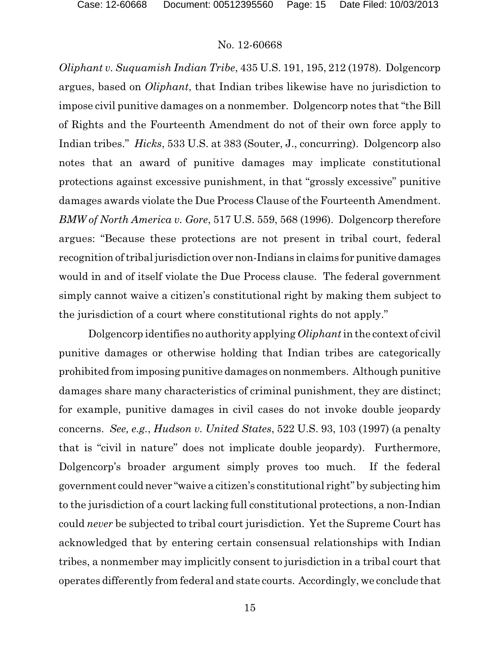*Oliphant v. Suquamish Indian Tribe*, 435 U.S. 191, 195, 212 (1978). Dolgencorp argues, based on *Oliphant*, that Indian tribes likewise have no jurisdiction to impose civil punitive damages on a nonmember. Dolgencorp notes that "the Bill of Rights and the Fourteenth Amendment do not of their own force apply to Indian tribes." *Hicks*, 533 U.S. at 383 (Souter, J., concurring). Dolgencorp also notes that an award of punitive damages may implicate constitutional protections against excessive punishment, in that "grossly excessive" punitive damages awards violate the Due Process Clause of the Fourteenth Amendment. *BMW of North America v. Gore*, 517 U.S. 559, 568 (1996). Dolgencorp therefore argues: "Because these protections are not present in tribal court, federal recognition of tribal jurisdiction over non-Indians in claims for punitive damages would in and of itself violate the Due Process clause. The federal government simply cannot waive a citizen's constitutional right by making them subject to the jurisdiction of a court where constitutional rights do not apply."

Dolgencorp identifies no authority applying *Oliphant*in the context of civil punitive damages or otherwise holding that Indian tribes are categorically prohibited from imposing punitive damages on nonmembers. Although punitive damages share many characteristics of criminal punishment, they are distinct; for example, punitive damages in civil cases do not invoke double jeopardy concerns. *See, e.g.*, *Hudson v. United States*, 522 U.S. 93, 103 (1997) (a penalty that is "civil in nature" does not implicate double jeopardy). Furthermore, Dolgencorp's broader argument simply proves too much. If the federal government could never "waive a citizen's constitutional right" by subjecting him to the jurisdiction of a court lacking full constitutional protections, a non-Indian could *never* be subjected to tribal court jurisdiction. Yet the Supreme Court has acknowledged that by entering certain consensual relationships with Indian tribes, a nonmember may implicitly consent to jurisdiction in a tribal court that operates differently from federal and state courts. Accordingly, we conclude that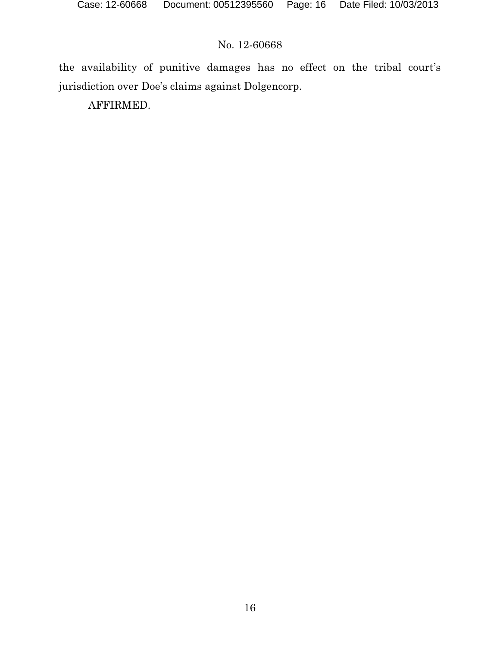the availability of punitive damages has no effect on the tribal court's jurisdiction over Doe's claims against Dolgencorp.

AFFIRMED.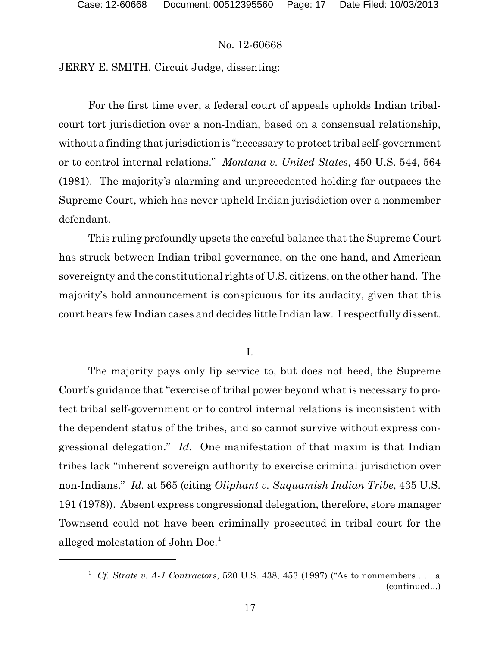JERRY E. SMITH, Circuit Judge, dissenting:

For the first time ever, a federal court of appeals upholds Indian tribalcourt tort jurisdiction over a non-Indian, based on a consensual relationship, without a finding that jurisdiction is "necessary to protect tribal self-government or to control internal relations." *Montana v. United States*, 450 U.S. 544, 564 (1981). The majority's alarming and unprecedented holding far outpaces the Supreme Court, which has never upheld Indian jurisdiction over a nonmember defendant.

This ruling profoundly upsets the careful balance that the Supreme Court has struck between Indian tribal governance, on the one hand, and American sovereignty and the constitutional rights of U.S. citizens, on the other hand. The majority's bold announcement is conspicuous for its audacity, given that this court hears few Indian cases and decides little Indian law. I respectfully dissent.

### I.

The majority pays only lip service to, but does not heed, the Supreme Court's guidance that "exercise of tribal power beyond what is necessary to protect tribal self-government or to control internal relations is inconsistent with the dependent status of the tribes, and so cannot survive without express congressional delegation." *Id*. One manifestation of that maxim is that Indian tribes lack "inherent sovereign authority to exercise criminal jurisdiction over non-Indians." *Id.* at 565 (citing *Oliphant v. Suquamish Indian Tribe*, 435 U.S. 191 (1978)). Absent express congressional delegation, therefore, store manager Townsend could not have been criminally prosecuted in tribal court for the alleged molestation of John Doe.<sup>1</sup>

<sup>1</sup> *Cf. Strate v. A-1 Contractors*, 520 U.S. 438, 453 (1997) ("As to nonmembers . . . a (continued...)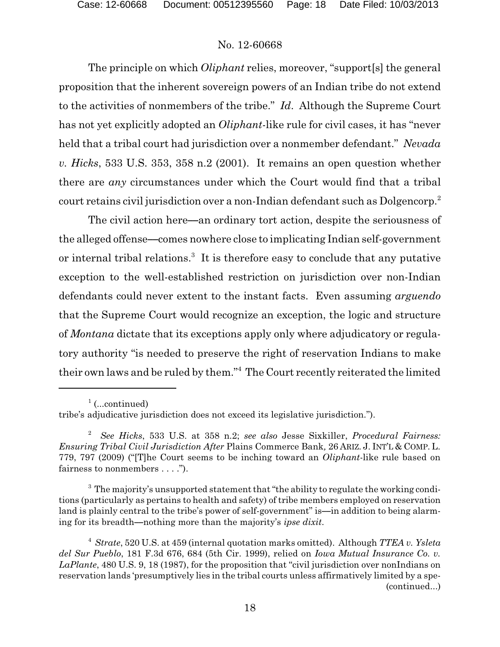The principle on which *Oliphant* relies, moreover, "support[s] the general proposition that the inherent sovereign powers of an Indian tribe do not extend to the activities of nonmembers of the tribe." *Id*. Although the Supreme Court has not yet explicitly adopted an *Oliphant*-like rule for civil cases, it has "never held that a tribal court had jurisdiction over a nonmember defendant." *Nevada v. Hicks*, 533 U.S. 353, 358 n.2 (2001). It remains an open question whether there are *any* circumstances under which the Court would find that a tribal court retains civil jurisdiction over a non-Indian defendant such as Dolgencorp.<sup>2</sup>

The civil action here—an ordinary tort action, despite the seriousness of the alleged offense—comes nowhere close to implicating Indian self-government or internal tribal relations.<sup>3</sup> It is therefore easy to conclude that any putative exception to the well-established restriction on jurisdiction over non-Indian defendants could never extent to the instant facts. Even assuming *arguendo* that the Supreme Court would recognize an exception, the logic and structure of *Montana* dictate that its exceptions apply only where adjudicatory or regulatory authority "is needed to preserve the right of reservation Indians to make their own laws and be ruled by them."<sup>4</sup> The Court recently reiterated the limited

 $1$  (...continued)

tribe's adjudicative jurisdiction does not exceed its legislative jurisdiction.").

<sup>2</sup> *See Hicks*, 533 U.S. at 358 n.2; *see also* Jesse Sixkiller, *Procedural Fairness: Ensuring Tribal Civil Jurisdiction After* Plains Commerce Bank*,* 26 ARIZ. J. INT'L & COMP. L. 779, 797 (2009) ("[T]he Court seems to be inching toward an *Oliphant*-like rule based on fairness to nonmembers . . . .").

 $3$  The majority's unsupported statement that "the ability to regulate the working conditions (particularly as pertains to health and safety) of tribe members employed on reservation land is plainly central to the tribe's power of self-government" is—in addition to being alarming for its breadth—nothing more than the majority's *ipse dixit*.

<sup>4</sup> *Strate*, 520 U.S. at 459 (internal quotation marks omitted). Although *TTEA v. Ysleta del Sur Pueblo*, 181 F.3d 676, 684 (5th Cir. 1999), relied on *Iowa Mutual Insurance Co. v. LaPlante*, 480 U.S. 9, 18 (1987), for the proposition that "civil jurisdiction over nonIndians on reservation lands 'presumptively lies in the tribal courts unless affirmatively limited by a spe- (continued...)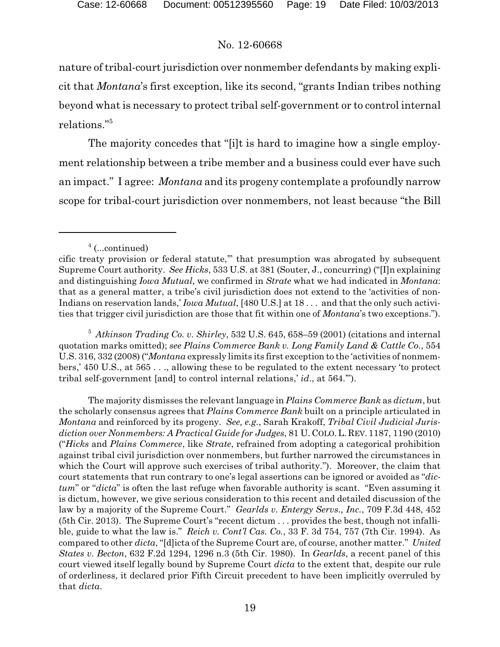nature of tribal-court jurisdiction over nonmember defendants by making explicit that *Montana*'s first exception, like its second, "grants Indian tribes nothing beyond what is necessary to protect tribal self-government or to control internal relations."<sup>5</sup>

The majority concedes that "[i]t is hard to imagine how a single employment relationship between a tribe member and a business could ever have such an impact." I agree: *Montana* and its progeny contemplate a profoundly narrow scope for tribal-court jurisdiction over nonmembers, not least because "the Bill

<sup>5</sup> *Atkinson Trading Co. v. Shirley*, 532 U.S. 645, 658–59 (2001) (citations and internal quotation marks omitted); *see Plains Commerce Bank v. Long Family Land & Cattle Co.*, 554 U.S. 316, 332 (2008) ("*Montana* expressly limits its first exception to the 'activities of nonmembers,' 450 U.S., at 565 . . ., allowing these to be regulated to the extent necessary 'to protect tribal self-government [and] to control internal relations,' *id*., at 564.'").

The majority dismisses the relevant language in *Plains Commerce Bank* as *dictum*, but the scholarly consensus agrees that *Plains Commerce Bank* built on a principle articulated in *Montana* and reinforced by its progeny. *See, e.g.*, Sarah Krakoff, *Tribal Civil Judicial Jurisdiction over Nonmembers: A Practical Guide for Judges*, 81 U. COLO.L. REV. 1187, 1190 (2010) ("*Hicks* and *Plains Commerce*, like *Strate*, refrained from adopting a categorical prohibition against tribal civil jurisdiction over nonmembers, but further narrowed the circumstances in which the Court will approve such exercises of tribal authority."). Moreover, the claim that court statements that run contrary to one's legal assertions can be ignored or avoided as "*dictum*" or "*dicta*" is often the last refuge when favorable authority is scant. "Even assuming it is dictum, however, we give serious consideration to this recent and detailed discussion of the law by a majority of the Supreme Court." *Gearlds v. Entergy Servs., Inc.*, 709 F.3d 448, 452 (5th Cir. 2013). The Supreme Court's "recent dictum . . . provides the best, though not infallible, guide to what the law is." *Reich v. Cont'l Cas. Co.*, 33 F. 3d 754, 757 (7th Cir. 1994). As compared to other *dicta*, "[d]icta of the Supreme Court are, of course, another matter." *United States v. Becton*, 632 F.2d 1294, 1296 n.3 (5th Cir. 1980). In *Gearlds*, a recent panel of this court viewed itself legally bound by Supreme Court *dicta* to the extent that, despite our rule of orderliness, it declared prior Fifth Circuit precedent to have been implicitly overruled by that *dicta*.

<sup>&</sup>lt;sup>4</sup> (...continued)

cific treaty provision or federal statute,'" that presumption was abrogated by subsequent Supreme Court authority. *See Hicks*, 533 U.S. at 381 (Souter, J., concurring) ("[I]n explaining and distinguishing *Iowa Mutual*, we confirmed in *Strate* what we had indicated in *Montana*: that as a general matter, a tribe's civil jurisdiction does not extend to the 'activities of non-Indians on reservation lands,' *Iowa Mutual*, [480 U.S.] at 18 . . . and that the only such activities that trigger civil jurisdiction are those that fit within one of *Montana*'s two exceptions.").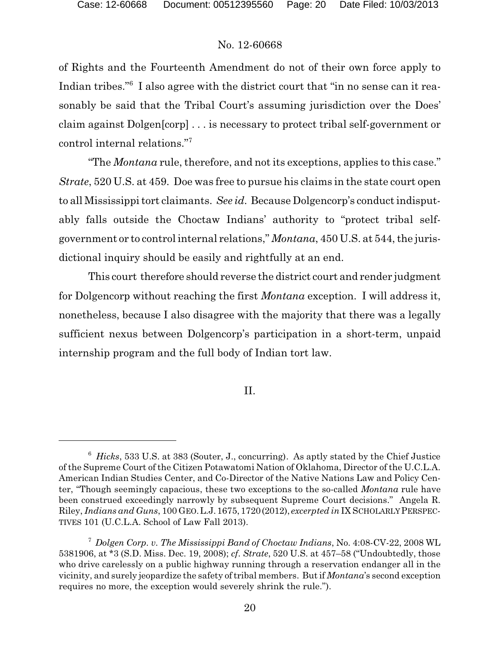of Rights and the Fourteenth Amendment do not of their own force apply to Indian tribes."<sup>6</sup> I also agree with the district court that "in no sense can it reasonably be said that the Tribal Court's assuming jurisdiction over the Does' claim against Dolgen[corp] . . . is necessary to protect tribal self-government or control internal relations."<sup>7</sup>

"The *Montana* rule, therefore, and not its exceptions, applies to this case." *Strate*, 520 U.S. at 459. Doe was free to pursue his claims in the state court open to all Mississippi tort claimants. *See id*. Because Dolgencorp's conduct indisputably falls outside the Choctaw Indians' authority to "protect tribal selfgovernment or to control internal relations," *Montana*, 450 U.S. at 544, the jurisdictional inquiry should be easily and rightfully at an end.

This court therefore should reverse the district court and render judgment for Dolgencorp without reaching the first *Montana* exception. I will address it, nonetheless, because I also disagree with the majority that there was a legally sufficient nexus between Dolgencorp's participation in a short-term, unpaid internship program and the full body of Indian tort law.

II.

<sup>6</sup> *Hicks*, 533 U.S. at 383 (Souter, J., concurring). As aptly stated by the Chief Justice of the Supreme Court of the Citizen Potawatomi Nation of Oklahoma, Director of the U.C.L.A. American Indian Studies Center, and Co-Director of the Native Nations Law and Policy Center, "Though seemingly capacious, these two exceptions to the so-called *Montana* rule have been construed exceedingly narrowly by subsequent Supreme Court decisions." Angela R. Riley, *Indians and Guns*, 100 GEO.L.J.1675,1720(2012), *excerpted in* IX SCHOLARLYPERSPEC-TIVES 101 (U.C.L.A. School of Law Fall 2013).

<sup>7</sup> *Dolgen Corp. v. The Mississippi Band of Choctaw Indians*, No. 4:08-CV-22, 2008 WL 5381906, at \*3 (S.D. Miss. Dec. 19, 2008); *cf*. *Strate*, 520 U.S. at 457–58 ("Undoubtedly, those who drive carelessly on a public highway running through a reservation endanger all in the vicinity, and surely jeopardize the safety of tribal members. But if *Montana*'s second exception requires no more, the exception would severely shrink the rule.").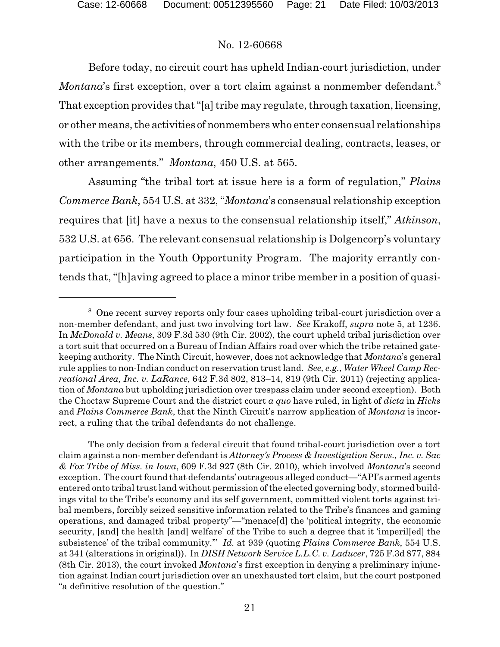Before today, no circuit court has upheld Indian-court jurisdiction, under *Montana*'s first exception, over a tort claim against a nonmember defendant.<sup>8</sup> That exception provides that "[a] tribe may regulate, through taxation, licensing, or other means, the activities of nonmembers who enter consensual relationships with the tribe or its members, through commercial dealing, contracts, leases, or other arrangements." *Montana*, 450 U.S. at 565.

Assuming "the tribal tort at issue here is a form of regulation," *Plains Commerce Bank*, 554 U.S. at 332, "*Montana*'s consensual relationship exception requires that [it] have a nexus to the consensual relationship itself," *Atkinson*, 532 U.S. at 656. The relevant consensual relationship is Dolgencorp's voluntary participation in the Youth Opportunity Program. The majority errantly contends that, "[h]aving agreed to place a minor tribe member in a position of quasi-

The only decision from a federal circuit that found tribal-court jurisdiction over a tort claim against a non-member defendant is *Attorney's Process & Investigation Servs., Inc. v. Sac & Fox Tribe of Miss. in Iowa*, 609 F.3d 927 (8th Cir. 2010), which involved *Montana*'s second exception. The court found that defendants' outrageous alleged conduct—"API's armed agents entered onto tribal trust land without permission of the elected governing body, stormed buildings vital to the Tribe's economy and its self government, committed violent torts against tribal members, forcibly seized sensitive information related to the Tribe's finances and gaming operations, and damaged tribal property"—"menace[d] the 'political integrity, the economic security, [and] the health [and] welfare' of the Tribe to such a degree that it 'imperil[ed] the subsistence' of the tribal community.'" *Id.* at 939 (quoting *Plains Commerce Bank*, 554 U.S. at 341 (alterations in original)). In *DISH Network Service L.L.C. v. Laducer*, 725 F.3d 877, 884 (8th Cir. 2013), the court invoked *Montana*'s first exception in denying a preliminary injunction against Indian court jurisdiction over an unexhausted tort claim, but the court postponed "a definitive resolution of the question."

<sup>8</sup> One recent survey reports only four cases upholding tribal-court jurisdiction over a non-member defendant, and just two involving tort law. *See* Krakoff, *supra* note 5, at 1236. In *McDonald v. Means*, 309 F.3d 530 (9th Cir. 2002), the court upheld tribal jurisdiction over a tort suit that occurred on a Bureau of Indian Affairs road over which the tribe retained gatekeeping authority. The Ninth Circuit, however, does not acknowledge that *Montana*'s general rule applies to non-Indian conduct on reservation trust land. *See, e.g.*, *Water Wheel Camp Recreational Area, Inc. v. LaRance*, 642 F.3d 802, 813–14, 819 (9th Cir. 2011) (rejecting application of *Montana* but upholding jurisdiction over trespass claim under second exception). Both the Choctaw Supreme Court and the district court *a quo* have ruled, in light of *dicta* in *Hicks* and *Plains Commerce Bank*, that the Ninth Circuit's narrow application of *Montana* is incorrect, a ruling that the tribal defendants do not challenge.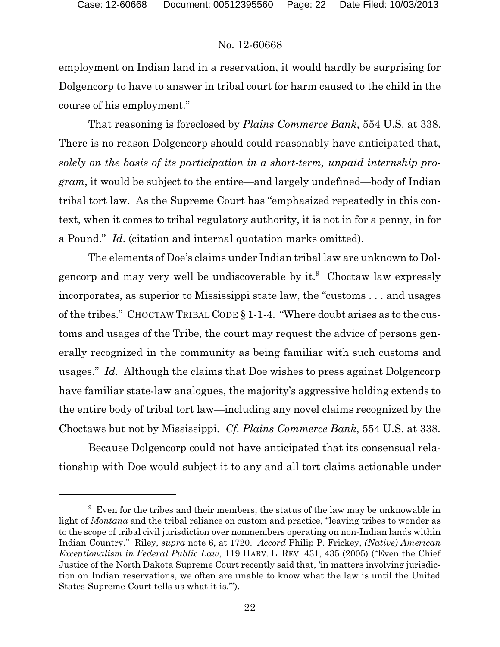employment on Indian land in a reservation, it would hardly be surprising for Dolgencorp to have to answer in tribal court for harm caused to the child in the course of his employment."

That reasoning is foreclosed by *Plains Commerce Bank*, 554 U.S. at 338. There is no reason Dolgencorp should could reasonably have anticipated that, *solely on the basis of its participation in a short-term, unpaid internship program*, it would be subject to the entire—and largely undefined—body of Indian tribal tort law. As the Supreme Court has "emphasized repeatedly in this context, when it comes to tribal regulatory authority, it is not in for a penny, in for a Pound." *Id*. (citation and internal quotation marks omitted).

The elements of Doe's claims under Indian tribal law are unknown to Dolgencorp and may very well be undiscoverable by it.<sup>9</sup> Choctaw law expressly incorporates, as superior to Mississippi state law, the "customs . . . and usages of the tribes." CHOCTAW TRIBAL CODE § 1-1-4. "Where doubt arises as to the customs and usages of the Tribe, the court may request the advice of persons generally recognized in the community as being familiar with such customs and usages." *Id*. Although the claims that Doe wishes to press against Dolgencorp have familiar state-law analogues, the majority's aggressive holding extends to the entire body of tribal tort law—including any novel claims recognized by the Choctaws but not by Mississippi. *Cf. Plains Commerce Bank*, 554 U.S. at 338.

Because Dolgencorp could not have anticipated that its consensual relationship with Doe would subject it to any and all tort claims actionable under

 $9\textdegree$  Even for the tribes and their members, the status of the law may be unknowable in light of *Montana* and the tribal reliance on custom and practice, "leaving tribes to wonder as to the scope of tribal civil jurisdiction over nonmembers operating on non-Indian lands within Indian Country." Riley, *supra* note 6, at 1720. *Accord* Philip P. Frickey, *(Native) American Exceptionalism in Federal Public Law*, 119 HARV. L. REV. 431, 435 (2005) ("Even the Chief Justice of the North Dakota Supreme Court recently said that, 'in matters involving jurisdiction on Indian reservations, we often are unable to know what the law is until the United States Supreme Court tells us what it is.'").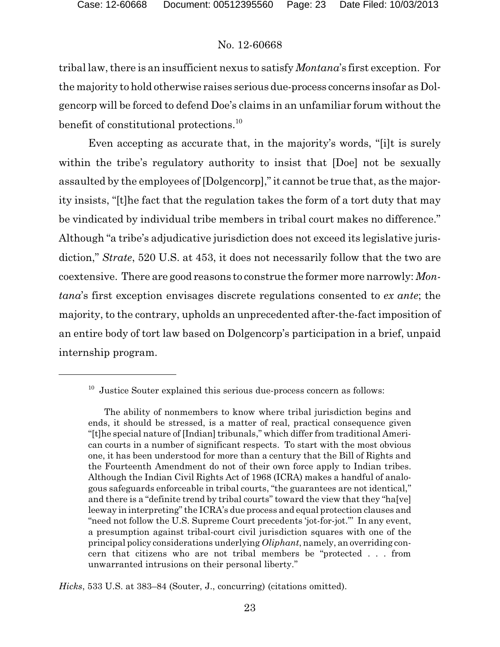tribal law, there is an insufficient nexus to satisfy *Montana*'s first exception. For the majority to hold otherwise raises serious due-process concerns insofar as Dolgencorp will be forced to defend Doe's claims in an unfamiliar forum without the benefit of constitutional protections.<sup>10</sup>

Even accepting as accurate that, in the majority's words, "[i]t is surely within the tribe's regulatory authority to insist that [Doe] not be sexually assaulted by the employees of [Dolgencorp]," it cannot be true that, as the majority insists, "[t]he fact that the regulation takes the form of a tort duty that may be vindicated by individual tribe members in tribal court makes no difference." Although "a tribe's adjudicative jurisdiction does not exceed its legislative jurisdiction," *Strate*, 520 U.S. at 453, it does not necessarily follow that the two are coextensive. There are good reasons to construe the former more narrowly: *Montana*'s first exception envisages discrete regulations consented to *ex ante*; the majority, to the contrary, upholds an unprecedented after-the-fact imposition of an entire body of tort law based on Dolgencorp's participation in a brief, unpaid internship program.

*Hicks*, 533 U.S. at 383–84 (Souter, J., concurring) (citations omitted).

<sup>&</sup>lt;sup>10</sup> Justice Souter explained this serious due-process concern as follows:

The ability of nonmembers to know where tribal jurisdiction begins and ends, it should be stressed, is a matter of real, practical consequence given "[t]he special nature of [Indian] tribunals," which differ from traditional American courts in a number of significant respects. To start with the most obvious one, it has been understood for more than a century that the Bill of Rights and the Fourteenth Amendment do not of their own force apply to Indian tribes. Although the Indian Civil Rights Act of 1968 (ICRA) makes a handful of analogous safeguards enforceable in tribal courts, "the guarantees are not identical," and there is a "definite trend by tribal courts" toward the view that they "ha[ve] leeway in interpreting" the ICRA's due process and equal protection clauses and "need not follow the U.S. Supreme Court precedents 'jot-for-jot."' In any event, a presumption against tribal-court civil jurisdiction squares with one of the principal policy considerations underlying *Oliphant*, namely, an overriding concern that citizens who are not tribal members be "protected . . . from unwarranted intrusions on their personal liberty."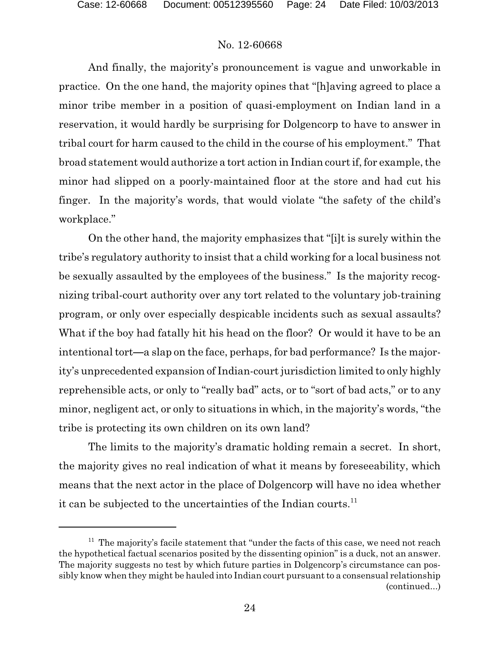And finally, the majority's pronouncement is vague and unworkable in practice. On the one hand, the majority opines that "[h]aving agreed to place a minor tribe member in a position of quasi-employment on Indian land in a reservation, it would hardly be surprising for Dolgencorp to have to answer in tribal court for harm caused to the child in the course of his employment." That broad statement would authorize a tort action in Indian court if, for example, the minor had slipped on a poorly-maintained floor at the store and had cut his finger. In the majority's words, that would violate "the safety of the child's workplace."

On the other hand, the majority emphasizes that "[i]t is surely within the tribe's regulatory authority to insist that a child working for a local business not be sexually assaulted by the employees of the business." Is the majority recognizing tribal-court authority over any tort related to the voluntary job-training program, or only over especially despicable incidents such as sexual assaults? What if the boy had fatally hit his head on the floor? Or would it have to be an intentional tort—a slap on the face, perhaps, for bad performance? Is the majority's unprecedented expansion of Indian-court jurisdiction limited to only highly reprehensible acts, or only to "really bad" acts, or to "sort of bad acts," or to any minor, negligent act, or only to situations in which, in the majority's words, "the tribe is protecting its own children on its own land?

The limits to the majority's dramatic holding remain a secret. In short, the majority gives no real indication of what it means by foreseeability, which means that the next actor in the place of Dolgencorp will have no idea whether it can be subjected to the uncertainties of the Indian courts. $^{11}$ 

 $11$  The majority's facile statement that "under the facts of this case, we need not reach the hypothetical factual scenarios posited by the dissenting opinion" is a duck, not an answer. The majority suggests no test by which future parties in Dolgencorp's circumstance can possibly know when they might be hauled into Indian court pursuant to a consensual relationship (continued...)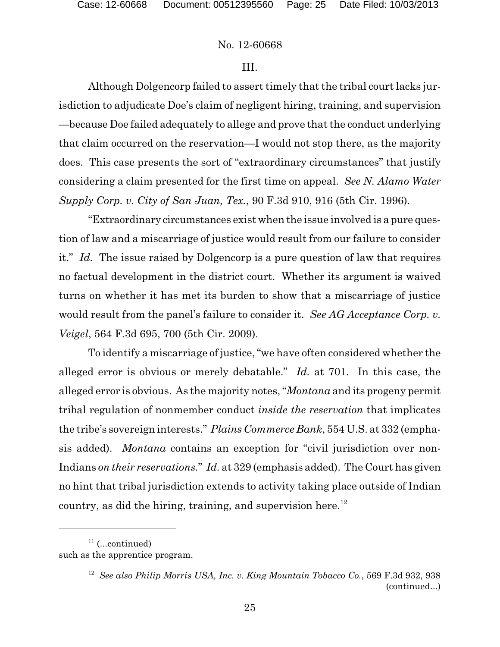#### III.

Although Dolgencorp failed to assert timely that the tribal court lacks jurisdiction to adjudicate Doe's claim of negligent hiring, training, and supervision —because Doe failed adequately to allege and prove that the conduct underlying that claim occurred on the reservation—I would not stop there, as the majority does. This case presents the sort of "extraordinary circumstances" that justify considering a claim presented for the first time on appeal. *See N. Alamo Water Supply Corp. v. City of San Juan, Tex.*, 90 F.3d 910, 916 (5th Cir. 1996).

"Extraordinary circumstances exist when the issue involved is a pure question of law and a miscarriage of justice would result from our failure to consider it." *Id.* The issue raised by Dolgencorp is a pure question of law that requires no factual development in the district court. Whether its argument is waived turns on whether it has met its burden to show that a miscarriage of justice would result from the panel's failure to consider it. *See AG Acceptance Corp. v. Veigel*, 564 F.3d 695, 700 (5th Cir. 2009).

To identify a miscarriage of justice, "we have often considered whether the alleged error is obvious or merely debatable." *Id.* at 701. In this case, the alleged error is obvious. As the majority notes, "*Montana* and its progeny permit tribal regulation of nonmember conduct *inside the reservation* that implicates the tribe's sovereign interests." *Plains Commerce Bank*, 554 U.S. at 332 (emphasis added). *Montana* contains an exception for "civil jurisdiction over non-Indians *on their reservations.*" *Id.* at 329 (emphasis added). The Court has given no hint that tribal jurisdiction extends to activity taking place outside of Indian country, as did the hiring, training, and supervision here.<sup>12</sup>

 $11$  (...continued) such as the apprentice program.

<sup>12</sup> *See also Philip Morris USA, Inc. v. King Mountain Tobacco Co.*, 569 F.3d 932, 938 (continued...)